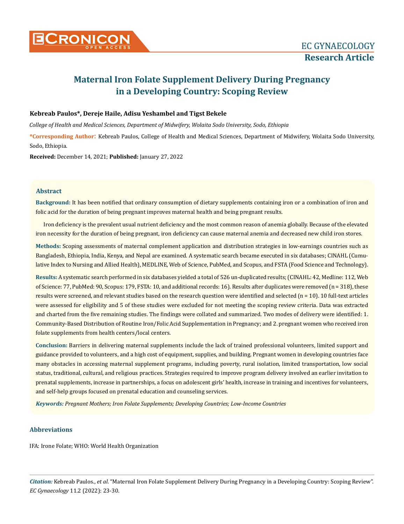

# **Maternal Iron Folate Supplement Delivery During Pregnancy in a Developing Country: Scoping Review**

## **Kebreab Paulos\*, Dereje Haile, Adisu Yeshambel and Tigst Bekele**

*College of Health and Medical Sciences, Department of Midwifery, Wolaita Sodo University, Sodo, Ethiopia* 

**\*Corresponding Author**: Kebreab Paulos, College of Health and Medical Sciences, Department of Midwifery, Wolaita Sodo University, Sodo, Ethiopia.

**Received:** December 14, 2021; **Published:** January 27, 2022

## **Abstract**

**Background:** It has been notified that ordinary consumption of dietary supplements containing iron or a combination of iron and folic acid for the duration of being pregnant improves maternal health and being pregnant results.

Iron deficiency is the prevalent usual nutrient deficiency and the most common reason of anemia globally. Because of the elevated iron necessity for the duration of being pregnant, iron deficiency can cause maternal anemia and decreased new child iron stores.

**Methods:** Scoping assessments of maternal complement application and distribution strategies in low-earnings countries such as Bangladesh, Ethiopia, India, Kenya, and Nepal are examined. A systematic search became executed in six databases; CINAHL (Cumulative Index to Nursing and Allied Health), MEDLINE, Web of Science, PubMed, and Scopus, and FSTA (Food Science and Technology).

**Results:** A systematic search performed in six databases yielded a total of 526 un-duplicated results; (CINAHL: 42, Medline: 112, Web of Science: 77, PubMed: 90, Scopus: 179, FSTA: 10, and additional records: 16). Results after duplicates were removed (n = 318), these results were screened, and relevant studies based on the research question were identified and selected  $(n = 10)$ . 10 full-text articles were assessed for eligibility and 5 of these studies were excluded for not meeting the scoping review criteria. Data was extracted and charted from the five remaining studies. The findings were collated and summarized. Two modes of delivery were identified: 1. Community-Based Distribution of Routine Iron/Folic Acid Supplementation in Pregnancy; and 2. pregnant women who received iron folate supplements from health centers/local centers.

**Conclusion:** Barriers in delivering maternal supplements include the lack of trained professional volunteers, limited support and guidance provided to volunteers, and a high cost of equipment, supplies, and building. Pregnant women in developing countries face many obstacles in accessing maternal supplement programs, including poverty, rural isolation, limited transportation, low social status, traditional, cultural, and religious practices. Strategies required to improve program delivery involved an earlier invitation to prenatal supplements, increase in partnerships, a focus on adolescent girls' health, increase in training and incentives for volunteers, and self-help groups focused on prenatal education and counseling services.

*Keywords: Pregnant Mothers; Iron Folate Supplements; Developing Countries; Low-Income Countries*

## **Abbreviations**

IFA: Irone Folate; WHO: World Health Organization

*Citation:* Kebreab Paulos., *et al*. "Maternal Iron Folate Supplement Delivery During Pregnancy in a Developing Country: Scoping Review". *EC Gynaecology* 11.2 (2022): 23-30.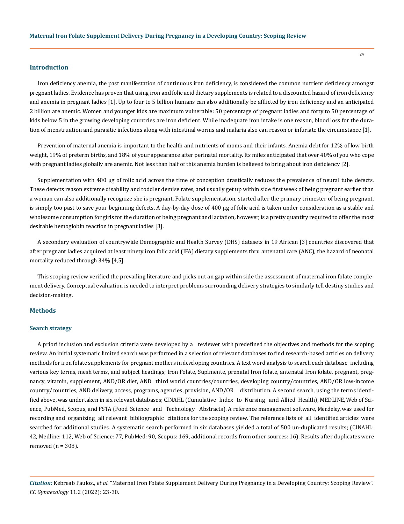#### **Introduction**

Iron deficiency anemia, the past manifestation of continuous iron deficiency, is considered the common nutrient deficiency amongst pregnant ladies. Evidence has proven that using iron and folic acid dietary supplements is related to a discounted hazard of iron deficiency and anemia in pregnant ladies [1]. Up to four to 5 billion humans can also additionally be afflicted by iron deficiency and an anticipated 2 billion are anemic. Women and younger kids are maximum vulnerable: 50 percentage of pregnant ladies and forty to 50 percentage of kids below 5 in the growing developing countries are iron deficient. While inadequate iron intake is one reason, blood loss for the duration of menstruation and parasitic infections along with intestinal worms and malaria also can reason or infuriate the circumstance [1].

Prevention of maternal anemia is important to the health and nutrients of moms and their infants. Anemia debt for 12% of low birth weight, 19% of preterm births, and 18% of your appearance after perinatal mortality. Its miles anticipated that over 40% of you who cope with pregnant ladies globally are anemic. Not less than half of this anemia burden is believed to bring about iron deficiency [2].

Supplementation with 400 µg of folic acid across the time of conception drastically reduces the prevalence of neural tube defects. These defects reason extreme disability and toddler demise rates, and usually get up within side first week of being pregnant earlier than a woman can also additionally recognize she is pregnant. Folate supplementation, started after the primary trimester of being pregnant, is simply too past to save your beginning defects. A day-by-day dose of 400 µg of folic acid is taken under consideration as a stable and wholesome consumption for girls for the duration of being pregnant and lactation, however, is a pretty quantity required to offer the most desirable hemoglobin reaction in pregnant ladies [3].

A secondary evaluation of countrywide Demographic and Health Survey (DHS) datasets in 19 African [3] countries discovered that after pregnant ladies acquired at least ninety iron folic acid (IFA) dietary supplements thru antenatal care (ANC), the hazard of neonatal mortality reduced through 34% [4,5].

This scoping review verified the prevailing literature and picks out an gap within side the assessment of maternal iron folate complement delivery. Conceptual evaluation is needed to interpret problems surrounding delivery strategies to similarly tell destiny studies and decision-making.

#### **Methods**

#### **Search strategy**

A priori inclusion and exclusion criteria were developed by a reviewer with predefined the objectives and methods for the scoping review. An initial systematic limited search was performed in a selection of relevant databases to find research-based articles on delivery methods for iron folate supplements for pregnant mothers in developing countries. A text word analysis to search each database including various key terms, mesh terms, and subject headings; Iron Folate, Suplmente, prenatal Iron folate, antenatal Iron folate, pregnant, pregnancy, vitamin, supplement, AND/OR diet, AND third world countries/countries, developing country/countries, AND/OR low-income country/countries, AND delivery, access, programs, agencies, provision, AND/OR distribution. A second search, using the terms identified above, was undertaken in six relevant databases; CINAHL (Cumulative Index to Nursing and Allied Health), MEDLINE, Web of Science, PubMed, Scopus, and FSTA (Food Science and Technology Abstracts). A reference management software, Mendeley, was used for recording and organizing all relevant bibliographic citations for the scoping review. The reference lists of all identified articles were searched for additional studies. A systematic search performed in six databases yielded a total of 500 un-duplicated results; (CINAHL: 42, Medline: 112, Web of Science: 77, PubMed: 90, Scopus: 169, additional records from other sources: 16). Results after duplicates were removed  $(n = 308)$ .

*Citation:* Kebreab Paulos., *et al*. "Maternal Iron Folate Supplement Delivery During Pregnancy in a Developing Country: Scoping Review". *EC Gynaecology* 11.2 (2022): 23-30.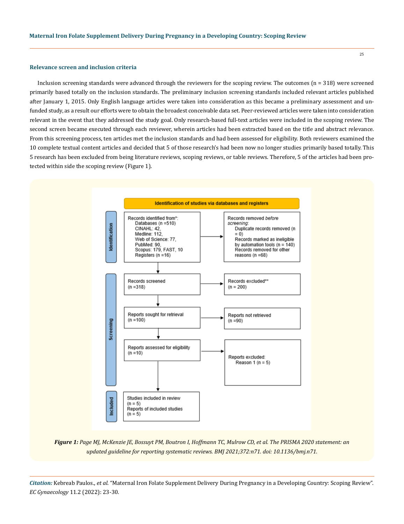#### **Relevance screen and inclusion criteria**

Inclusion screening standards were advanced through the reviewers for the scoping review. The outcomes  $(n = 318)$  were screened primarily based totally on the inclusion standards. The preliminary inclusion screening standards included relevant articles published after January 1, 2015. Only English language articles were taken into consideration as this became a preliminary assessment and unfunded study, as a result our efforts were to obtain the broadest conceivable data set. Peer-reviewed articles were taken into consideration relevant in the event that they addressed the study goal. Only research-based full-text articles were included in the scoping review. The second screen became executed through each reviewer, wherein articles had been extracted based on the title and abstract relevance. From this screening process, ten articles met the inclusion standards and had been assessed for eligibility. Both reviewers examined the 10 complete textual content articles and decided that 5 of those research's had been now no longer studies primarily based totally. This 5 research has been excluded from being literature reviews, scoping reviews, or table reviews. Therefore, 5 of the articles had been protected within side the scoping review (Figure 1).



*Figure 1: Page MJ, McKenzie JE, Bossuyt PM, Boutron I, Hoffmann TC, Mulrow CD, et al. The PRISMA 2020 statement: an updated guideline for reporting systematic reviews. BMJ 2021;372:n71. doi: 10.1136/bmj.n71.*

*Citation:* Kebreab Paulos., *et al*. "Maternal Iron Folate Supplement Delivery During Pregnancy in a Developing Country: Scoping Review". *EC Gynaecology* 11.2 (2022): 23-30.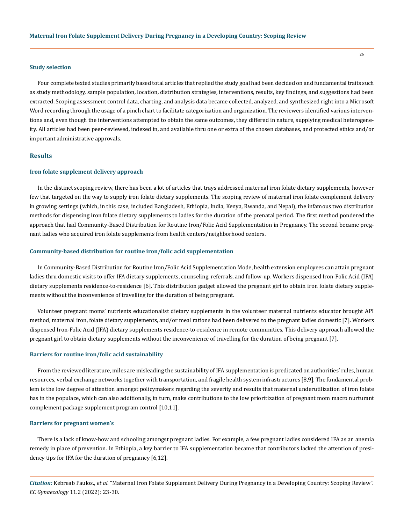#### **Study selection**

Four complete texted studies primarily based total articles that replied the study goal had been decided on and fundamental traits such as study methodology, sample population, location, distribution strategies, interventions, results, key findings, and suggestions had been extracted. Scoping assessment control data, charting, and analysis data became collected, analyzed, and synthesized right into a Microsoft Word recording through the usage of a pinch chart to facilitate categorization and organization. The reviewers identified various interventions and, even though the interventions attempted to obtain the same outcomes, they differed in nature, supplying medical heterogeneity. All articles had been peer-reviewed, indexed in, and available thru one or extra of the chosen databases, and protected ethics and/or important administrative approvals.

## **Results**

#### **Iron folate supplement delivery approach**

In the distinct scoping review, there has been a lot of articles that trays addressed maternal iron folate dietary supplements, however few that targeted on the way to supply iron folate dietary supplements. The scoping review of maternal iron folate complement delivery in growing settings (which, in this case, included Bangladesh, Ethiopia, India, Kenya, Rwanda, and Nepal), the infamous two distribution methods for dispensing iron folate dietary supplements to ladies for the duration of the prenatal period. The first method pondered the approach that had Community-Based Distribution for Routine Iron/Folic Acid Supplementation in Pregnancy. The second became pregnant ladies who acquired iron folate supplements from health centers/neighborhood centers.

#### **Community-based distribution for routine iron/folic acid supplementation**

In Community-Based Distribution for Routine Iron/Folic Acid Supplementation Mode, health extension employees can attain pregnant ladies thru domestic visits to offer IFA dietary supplements, counseling, referrals, and follow-up. Workers dispensed Iron-Folic Acid (IFA) dietary supplements residence-to-residence [6]. This distribution gadget allowed the pregnant girl to obtain iron folate dietary supplements without the inconvenience of travelling for the duration of being pregnant.

Volunteer pregnant moms' nutrients educationalist dietary supplements in the volunteer maternal nutrients educator brought API method, maternal iron, folate dietary supplements, and/or meal rations had been delivered to the pregnant ladies domestic [7]. Workers dispensed Iron-Folic Acid (IFA) dietary supplements residence-to-residence in remote communities. This delivery approach allowed the pregnant girl to obtain dietary supplements without the inconvenience of travelling for the duration of being pregnant [7].

#### **Barriers for routine iron/folic acid sustainability**

From the reviewed literature, miles are misleading the sustainability of IFA supplementation is predicated on authorities' rules, human resources, verbal exchange networks together with transportation, and fragile health system infrastructures [8,9]. The fundamental problem is the low degree of attention amongst policymakers regarding the severity and results that maternal underutilization of iron folate has in the populace, which can also additionally, in turn, make contributions to the low prioritization of pregnant mom macro nurturant complement package supplement program control [10,11].

#### **Barriers for pregnant women's**

There is a lack of know-how and schooling amongst pregnant ladies. For example, a few pregnant ladies considered IFA as an anemia remedy in place of prevention. In Ethiopia, a key barrier to IFA supplementation became that contributors lacked the attention of presidency tips for IFA for the duration of pregnancy [6,12].

*Citation:* Kebreab Paulos., *et al*. "Maternal Iron Folate Supplement Delivery During Pregnancy in a Developing Country: Scoping Review". *EC Gynaecology* 11.2 (2022): 23-30.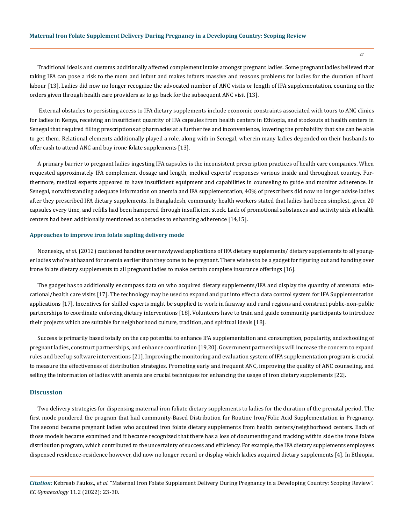Traditional ideals and customs additionally affected complement intake amongst pregnant ladies. Some pregnant ladies believed that taking IFA can pose a risk to the mom and infant and makes infants massive and reasons problems for ladies for the duration of hard labour [13]. Ladies did now no longer recognize the advocated number of ANC visits or length of IFA supplementation, counting on the orders given through health care providers as to go back for the subsequent ANC visit [13].

 External obstacles to persisting access to IFA dietary supplements include economic constraints associated with tours to ANC clinics for ladies in Kenya, receiving an insufficient quantity of IFA capsules from health centers in Ethiopia, and stockouts at health centers in Senegal that required filling prescriptions at pharmacies at a further fee and inconvenience, lowering the probability that she can be able to get them. Relational elements additionally played a role, along with in Senegal, wherein many ladies depended on their husbands to offer cash to attend ANC and buy irone folate supplements [13].

A primary barrier to pregnant ladies ingesting IFA capsules is the inconsistent prescription practices of health care companies. When requested approximately IFA complement dosage and length, medical experts' responses various inside and throughout country. Furthermore, medical experts appeared to have insufficient equipment and capabilities in counseling to guide and monitor adherence. In Senegal, notwithstanding adequate information on anemia and IFA supplementation, 40% of prescribers did now no longer advise ladies after they prescribed IFA dietary supplements. In Bangladesh, community health workers stated that ladies had been simplest, given 20 capsules every time, and refills had been hampered through insufficient stock. Lack of promotional substances and activity aids at health centers had been additionally mentioned as obstacles to enhancing adherence [14,15].

#### **Approaches to improve iron folate sapling delivery mode**

Noznesky., *et al.* (2012) cautioned handing over newlywed applications of IFA dietary supplements/ dietary supplements to all younger ladies who're at hazard for anemia earlier than they come to be pregnant. There wishes to be a gadget for figuring out and handing over irone folate dietary supplements to all pregnant ladies to make certain complete insurance offerings [16].

The gadget has to additionally encompass data on who acquired dietary supplements/IFA and display the quantity of antenatal educational/health care visits [17]. The technology may be used to expand and put into effect a data control system for IFA Supplementation applications [17]. Incentives for skilled experts might be supplied to work in faraway and rural regions and construct public-non-public partnerships to coordinate enforcing dietary interventions [18]. Volunteers have to train and guide community participants to introduce their projects which are suitable for neighborhood culture, tradition, and spiritual ideals [18].

Success is primarily based totally on the cap potential to enhance IFA supplementation and consumption, popularity, and schooling of pregnant ladies, construct partnerships, and enhance coordination [19,20]. Government partnerships will increase the concern to expand rules and beef up software interventions [21]. Improving the monitoring and evaluation system of IFA supplementation program is crucial to measure the effectiveness of distribution strategies. Promoting early and frequent ANC, improving the quality of ANC counseling, and selling the information of ladies with anemia are crucial techniques for enhancing the usage of iron dietary supplements [22].

#### **Discussion**

Two delivery strategies for dispensing maternal iron foliate dietary supplements to ladies for the duration of the prenatal period. The first mode pondered the program that had community-Based Distribution for Routine Iron/Folic Acid Supplementation in Pregnancy. The second became pregnant ladies who acquired iron folate dietary supplements from health centers/neighborhood centers. Each of those models became examined and it became recognized that there has a loss of documenting and tracking within side the irone folate distribution program, which contributed to the uncertainty of success and efficiency. For example, the IFA dietary supplements employees dispensed residence-residence however, did now no longer record or display which ladies acquired dietary supplements [4]. In Ethiopia,

*Citation:* Kebreab Paulos., *et al*. "Maternal Iron Folate Supplement Delivery During Pregnancy in a Developing Country: Scoping Review". *EC Gynaecology* 11.2 (2022): 23-30.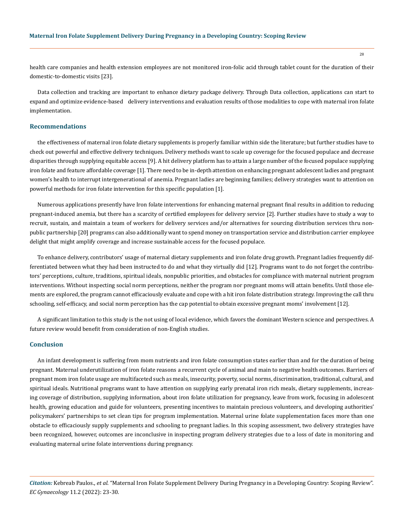health care companies and health extension employees are not monitored iron-folic acid through tablet count for the duration of their domestic-to-domestic visits [23].

Data collection and tracking are important to enhance dietary package delivery. Through Data collection, applications can start to expand and optimize evidence-based delivery interventions and evaluation results of those modalities to cope with maternal iron folate implementation.

## **Recommendations**

the effectiveness of maternal iron folate dietary supplements is properly familiar within side the literature; but further studies have to check out powerful and effective delivery techniques. Delivery methods want to scale up coverage for the focused populace and decrease disparities through supplying equitable access [9]. A hit delivery platform has to attain a large number of the focused populace supplying iron folate and feature affordable coverage [1]. There need to be in-depth attention on enhancing pregnant adolescent ladies and pregnant women's health to interrupt intergenerational of anemia. Pregnant ladies are beginning families; delivery strategies want to attention on powerful methods for iron folate intervention for this specific population [1].

Numerous applications presently have Iron folate interventions for enhancing maternal pregnant final results in addition to reducing pregnant-induced anemia, but there has a scarcity of certified employees for delivery service [2]. Further studies have to study a way to recruit, sustain, and maintain a team of workers for delivery services and/or alternatives for sourcing distribution services thru nonpublic partnership [20] programs can also additionally want to spend money on transportation service and distribution carrier employee delight that might amplify coverage and increase sustainable access for the focused populace.

To enhance delivery, contributors' usage of maternal dietary supplements and iron folate drug growth. Pregnant ladies frequently differentiated between what they had been instructed to do and what they virtually did [12]. Programs want to do not forget the contributors' perceptions, culture, traditions, spiritual ideals, nonpublic priorities, and obstacles for compliance with maternal nutrient program interventions. Without inspecting social norm perceptions, neither the program nor pregnant moms will attain benefits. Until those elements are explored, the program cannot efficaciously evaluate and cope with a hit iron folate distribution strategy. Improving the call thru schooling, self-efficacy, and social norm perception has the cap potential to obtain excessive pregnant moms' involvement [12].

A significant limitation to this study is the not using of local evidence, which favors the dominant Western science and perspectives. A future review would benefit from consideration of non-English studies.

## **Conclusion**

An infant development is suffering from mom nutrients and iron folate consumption states earlier than and for the duration of being pregnant. Maternal underutilization of iron folate reasons a recurrent cycle of animal and main to negative health outcomes. Barriers of pregnant mom iron folate usage are multifaceted such as meals, insecurity, poverty, social norms, discrimination, traditional, cultural, and spiritual ideals. Nutritional programs want to have attention on supplying early prenatal iron rich meals, dietary supplements, increasing coverage of distribution, supplying information, about iron folate utilization for pregnancy, leave from work, focusing in adolescent health, growing education and guide for volunteers, presenting incentives to maintain precious volunteers, and developing authorities' policymakers' partnerships to set clean tips for program implementation. Maternal urine folate supplementation faces more than one obstacle to efficaciously supply supplements and schooling to pregnant ladies. In this scoping assessment, two delivery strategies have been recognized, however, outcomes are inconclusive in inspecting program delivery strategies due to a loss of date in monitoring and evaluating maternal urine folate interventions during pregnancy.

*Citation:* Kebreab Paulos., *et al*. "Maternal Iron Folate Supplement Delivery During Pregnancy in a Developing Country: Scoping Review". *EC Gynaecology* 11.2 (2022): 23-30.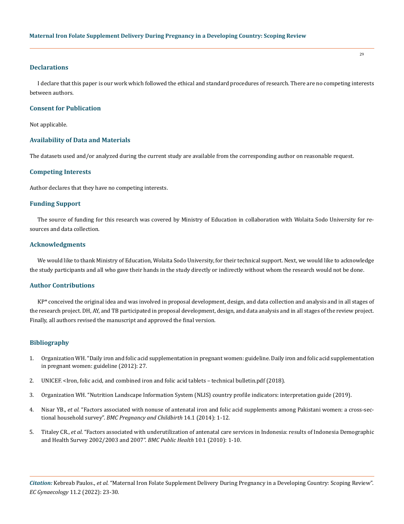### **Declarations**

I declare that this paper is our work which followed the ethical and standard procedures of research. There are no competing interests between authors.

#### **Consent for Publication**

Not applicable.

## **Availability of Data and Materials**

The datasets used and/or analyzed during the current study are available from the corresponding author on reasonable request.

## **Competing Interests**

Author declares that they have no competing interests.

### **Funding Support**

The source of funding for this research was covered by Ministry of Education in collaboration with Wolaita Sodo University for resources and data collection.

## **Acknowledgments**

We would like to thank Ministry of Education, Wolaita Sodo University, for their technical support. Next, we would like to acknowledge the study participants and all who gave their hands in the study directly or indirectly without whom the research would not be done.

## **Author Contributions**

KP\* conceived the original idea and was involved in proposal development, design, and data collection and analysis and in all stages of the research project. DH, AY, and TB participated in proposal development, design, and data analysis and in all stages of the review project. Finally, all authors revised the manuscript and approved the final version.

## **Bibliography**

- 1. Organization WH. "Daily iron and folic acid supplementation in pregnant women: guideline. Daily iron and folic acid supplementation in pregnant women: guideline (2012): 27.
- 2. [UNICEF. <Iron, folic acid, and combined iron and folic acid tablets technical bulletin.pdf \(2018\).](https://www.unicef.org/supply/documents/iron-folic-acid-and-combined-iron-and-folic-acid-tablets-technical-bulletin)
- 3. [Organization WH. "Nutrition Landscape Information System \(NLIS\) country profile indicators: interpretation guide \(2019\).](https://www.who.int/publications-detail-redirect/9789241516952)
- 4. Nisar YB., *et al.* ["Factors associated with nonuse of antenatal iron and folic acid supplements among Pakistani women: a cross-sec](https://www.researchgate.net/publication/265392798_Factors_associated_with_non-use_of_antenatal_iron_and_folic_acid_supplements_among_Pakistani_women_A_cross_sectional_household_survey)tional household survey". *[BMC Pregnancy and Childbirth](https://www.researchgate.net/publication/265392798_Factors_associated_with_non-use_of_antenatal_iron_and_folic_acid_supplements_among_Pakistani_women_A_cross_sectional_household_survey)* 14.1 (2014): 1-12.
- 5. Titaley CR., *et al.* ["Factors associated with underutilization of antenatal care services in Indonesia: results of Indonesia Demographic](https://bmcpublichealth.biomedcentral.com/articles/10.1186/1471-2458-10-485)  [and Health Survey 2002/2003 and 2007".](https://bmcpublichealth.biomedcentral.com/articles/10.1186/1471-2458-10-485) *BMC Public Health* 10.1 (2010): 1-10.

*Citation:* Kebreab Paulos., *et al*. "Maternal Iron Folate Supplement Delivery During Pregnancy in a Developing Country: Scoping Review". *EC Gynaecology* 11.2 (2022): 23-30.